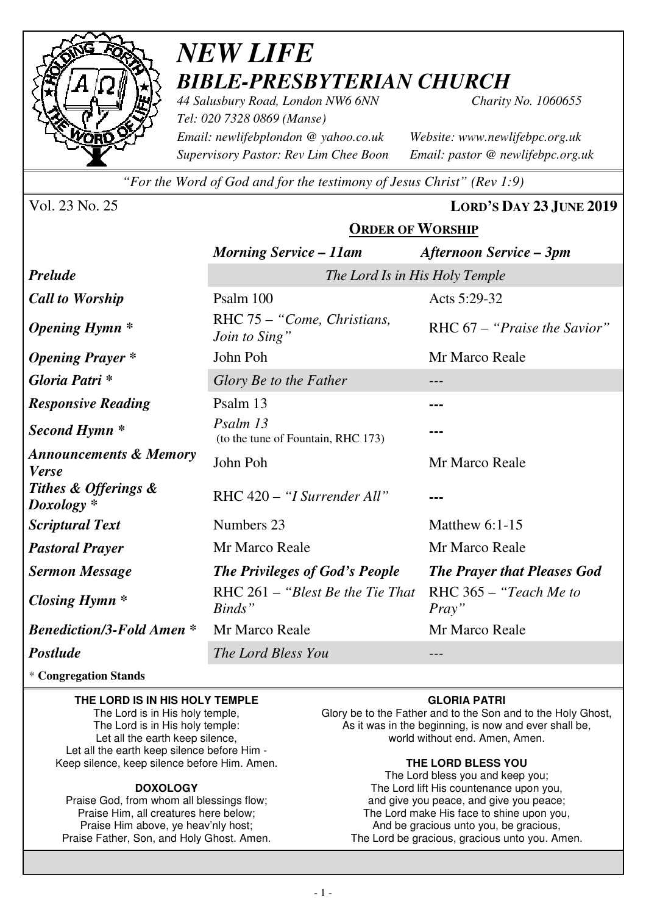

## *NEW LIFE BIBLE-PRESBYTERIAN CHURCH 44 Salusbury Road, London NW6 6NN Charity No. 1060655*

*Tel: 020 7328 0869 (Manse) Email: newlifebplondon @ yahoo.co.uk Website: www.newlifebpc.org.uk Supervisory Pastor: Rev Lim Chee Boon Email: pastor @ newlifebpc.org.uk* 

*"For the Word of God and for the testimony of Jesus Christ" (Rev 1:9)*

Vol. 23 No. 25 **LORD'S DAY 23 JUNE 2019**

#### **ORDER OF WORSHIP**

|                                                   | <b>Morning Service – 11am</b>                  | Afternoon Service – 3pm             |  |  |  |  |
|---------------------------------------------------|------------------------------------------------|-------------------------------------|--|--|--|--|
| <b>Prelude</b>                                    | The Lord Is in His Holy Temple                 |                                     |  |  |  |  |
| <b>Call to Worship</b>                            | Psalm 100                                      | Acts 5:29-32                        |  |  |  |  |
| <b>Opening Hymn</b> *                             | RHC 75 – "Come, Christians,<br>Join to Sing"   | RHC $67 -$ "Praise the Savior"      |  |  |  |  |
| <b>Opening Prayer</b> *                           | John Poh                                       | Mr Marco Reale                      |  |  |  |  |
| Gloria Patri *                                    | Glory Be to the Father                         |                                     |  |  |  |  |
| <b>Responsive Reading</b>                         | Psalm 13                                       |                                     |  |  |  |  |
| Second Hymn *                                     | Psalm 13<br>(to the tune of Fountain, RHC 173) |                                     |  |  |  |  |
| <b>Announcements &amp; Memory</b><br><b>Verse</b> | John Poh                                       | Mr Marco Reale                      |  |  |  |  |
| Tithes & Offerings &<br>Doxology *                | RHC 420 - "I Surrender All"                    |                                     |  |  |  |  |
| <b>Scriptural Text</b>                            | Numbers 23                                     | Matthew $6:1-15$                    |  |  |  |  |
| <b>Pastoral Prayer</b>                            | Mr Marco Reale                                 | Mr Marco Reale                      |  |  |  |  |
| <b>Sermon Message</b>                             | <b>The Privileges of God's People</b>          | <b>The Prayer that Pleases God</b>  |  |  |  |  |
| Closing Hymn $*$                                  | RHC $261 -$ "Blest Be the Tie That"<br>Binds"  | RHC $365 -$ "Teach Me to"<br>Pray'' |  |  |  |  |
| <b>Benediction/3-Fold Amen *</b>                  | Mr Marco Reale                                 | Mr Marco Reale                      |  |  |  |  |
| Postlude                                          | The Lord Bless You                             |                                     |  |  |  |  |

\* **Congregation Stands** 

#### **THE LORD IS IN HIS HOLY TEMPLE**

The Lord is in His holy temple, The Lord is in His holy temple: Let all the earth keep silence, Let all the earth keep silence before Him - Keep silence, keep silence before Him. Amen.

#### **DOXOLOGY**

Praise God, from whom all blessings flow; Praise Him, all creatures here below; Praise Him above, ye heav'nly host; Praise Father, Son, and Holy Ghost. Amen.

#### **GLORIA PATRI**

Glory be to the Father and to the Son and to the Holy Ghost, As it was in the beginning, is now and ever shall be, world without end. Amen, Amen.

#### **THE LORD BLESS YOU**

The Lord bless you and keep you; The Lord lift His countenance upon you, and give you peace, and give you peace; The Lord make His face to shine upon you, And be gracious unto you, be gracious, The Lord be gracious, gracious unto you. Amen.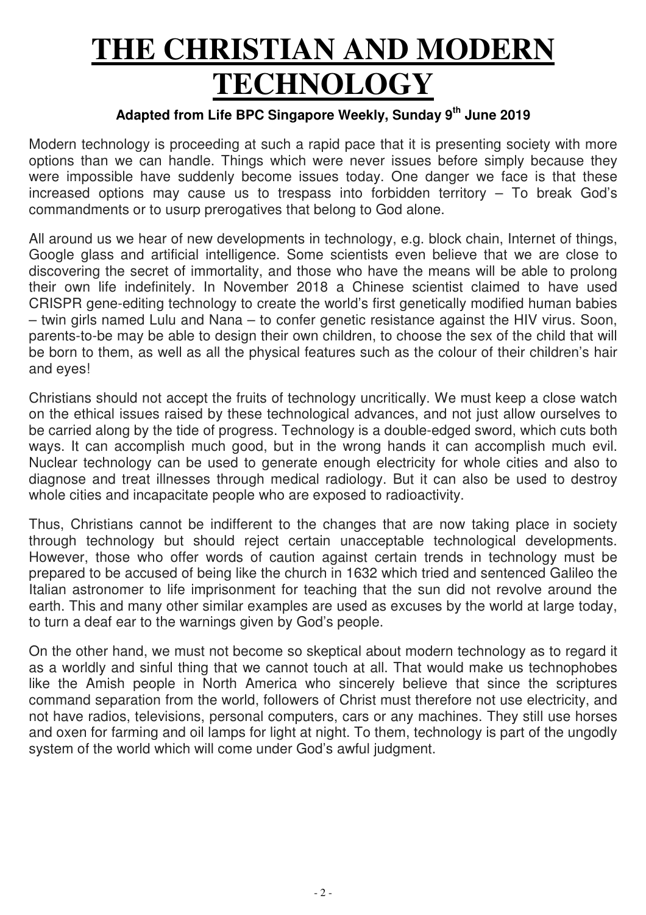# **THE CHRISTIAN AND MODERN TECHNOLOGY**

### **Adapted from Life BPC Singapore Weekly, Sunday 9th June 2019**

Modern technology is proceeding at such a rapid pace that it is presenting society with more options than we can handle. Things which were never issues before simply because they were impossible have suddenly become issues today. One danger we face is that these increased options may cause us to trespass into forbidden territory  $-$  To break God's commandments or to usurp prerogatives that belong to God alone.

All around us we hear of new developments in technology, e.g. block chain, Internet of things, Google glass and artificial intelligence. Some scientists even believe that we are close to discovering the secret of immortality, and those who have the means will be able to prolong their own life indefinitely. In November 2018 a Chinese scientist claimed to have used CRISPR gene-editing technology to create the world's first genetically modified human babies – twin girls named Lulu and Nana – to confer genetic resistance against the HIV virus. Soon, parents-to-be may be able to design their own children, to choose the sex of the child that will be born to them, as well as all the physical features such as the colour of their children's hair and eyes!

Christians should not accept the fruits of technology uncritically. We must keep a close watch on the ethical issues raised by these technological advances, and not just allow ourselves to be carried along by the tide of progress. Technology is a double-edged sword, which cuts both ways. It can accomplish much good, but in the wrong hands it can accomplish much evil. Nuclear technology can be used to generate enough electricity for whole cities and also to diagnose and treat illnesses through medical radiology. But it can also be used to destroy whole cities and incapacitate people who are exposed to radioactivity.

Thus, Christians cannot be indifferent to the changes that are now taking place in society through technology but should reject certain unacceptable technological developments. However, those who offer words of caution against certain trends in technology must be prepared to be accused of being like the church in 1632 which tried and sentenced Galileo the Italian astronomer to life imprisonment for teaching that the sun did not revolve around the earth. This and many other similar examples are used as excuses by the world at large today, to turn a deaf ear to the warnings given by God's people.

On the other hand, we must not become so skeptical about modern technology as to regard it as a worldly and sinful thing that we cannot touch at all. That would make us technophobes like the Amish people in North America who sincerely believe that since the scriptures command separation from the world, followers of Christ must therefore not use electricity, and not have radios, televisions, personal computers, cars or any machines. They still use horses and oxen for farming and oil lamps for light at night. To them, technology is part of the ungodly system of the world which will come under God's awful judgment.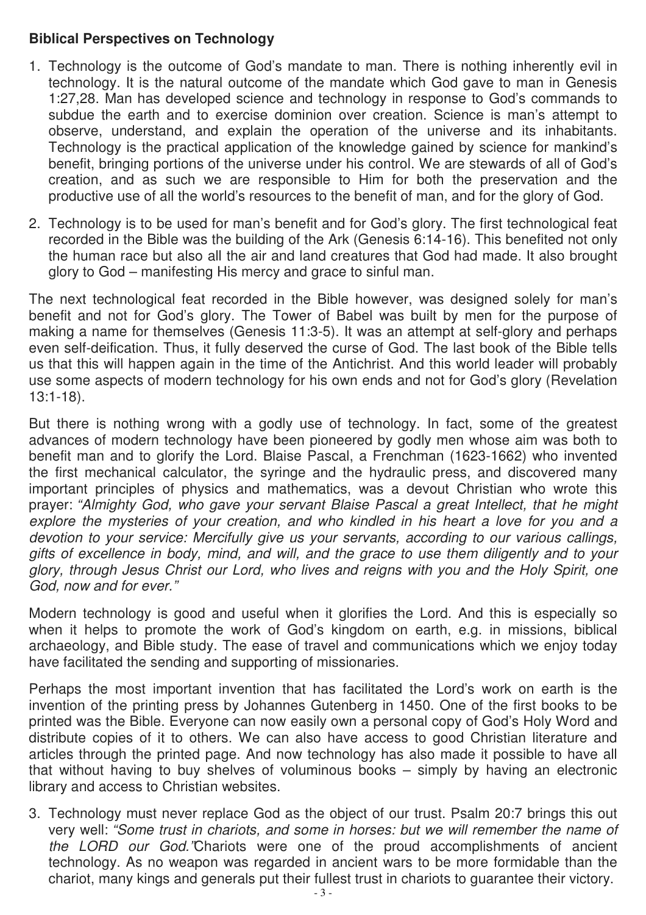#### **Biblical Perspectives on Technology**

- 1. Technology is the outcome of God's mandate to man. There is nothing inherently evil in technology. It is the natural outcome of the mandate which God gave to man in Genesis 1:27,28. Man has developed science and technology in response to God's commands to subdue the earth and to exercise dominion over creation. Science is man's attempt to observe, understand, and explain the operation of the universe and its inhabitants. Technology is the practical application of the knowledge gained by science for mankind's benefit, bringing portions of the universe under his control. We are stewards of all of God's creation, and as such we are responsible to Him for both the preservation and the productive use of all the world's resources to the benefit of man, and for the glory of God.
- 2. Technology is to be used for man's benefit and for God's glory. The first technological feat recorded in the Bible was the building of the Ark (Genesis 6:14-16). This benefited not only the human race but also all the air and land creatures that God had made. It also brought glory to God – manifesting His mercy and grace to sinful man.

The next technological feat recorded in the Bible however, was designed solely for man's benefit and not for God's glory. The Tower of Babel was built by men for the purpose of making a name for themselves (Genesis 11:3-5). It was an attempt at self-glory and perhaps even self-deification. Thus, it fully deserved the curse of God. The last book of the Bible tells us that this will happen again in the time of the Antichrist. And this world leader will probably use some aspects of modern technology for his own ends and not for God's glory (Revelation 13:1-18).

But there is nothing wrong with a godly use of technology. In fact, some of the greatest advances of modern technology have been pioneered by godly men whose aim was both to benefit man and to glorify the Lord. Blaise Pascal, a Frenchman (1623-1662) who invented the first mechanical calculator, the syringe and the hydraulic press, and discovered many important principles of physics and mathematics, was a devout Christian who wrote this prayer: *"Almighty God, who gave your servant Blaise Pascal a great Intellect, that he might explore the mysteries of your creation, and who kindled in his heart a love for you and a devotion to your service: Mercifully give us your servants, according to our various callings, gifts of excellence in body, mind, and will, and the grace to use them diligently and to your glory, through Jesus Christ our Lord, who lives and reigns with you and the Holy Spirit, one God, now and for ever."*

Modern technology is good and useful when it glorifies the Lord. And this is especially so when it helps to promote the work of God's kingdom on earth, e.g. in missions, biblical archaeology, and Bible study. The ease of travel and communications which we enjoy today have facilitated the sending and supporting of missionaries.

Perhaps the most important invention that has facilitated the Lord's work on earth is the invention of the printing press by Johannes Gutenberg in 1450. One of the first books to be printed was the Bible. Everyone can now easily own a personal copy of God's Holy Word and distribute copies of it to others. We can also have access to good Christian literature and articles through the printed page. And now technology has also made it possible to have all that without having to buy shelves of voluminous books – simply by having an electronic library and access to Christian websites.

3. Technology must never replace God as the object of our trust. Psalm 20:7 brings this out very well: *"Some trust in chariots, and some in horses: but we will remember the name of the LORD our God."*Chariots were one of the proud accomplishments of ancient technology. As no weapon was regarded in ancient wars to be more formidable than the chariot, many kings and generals put their fullest trust in chariots to guarantee their victory.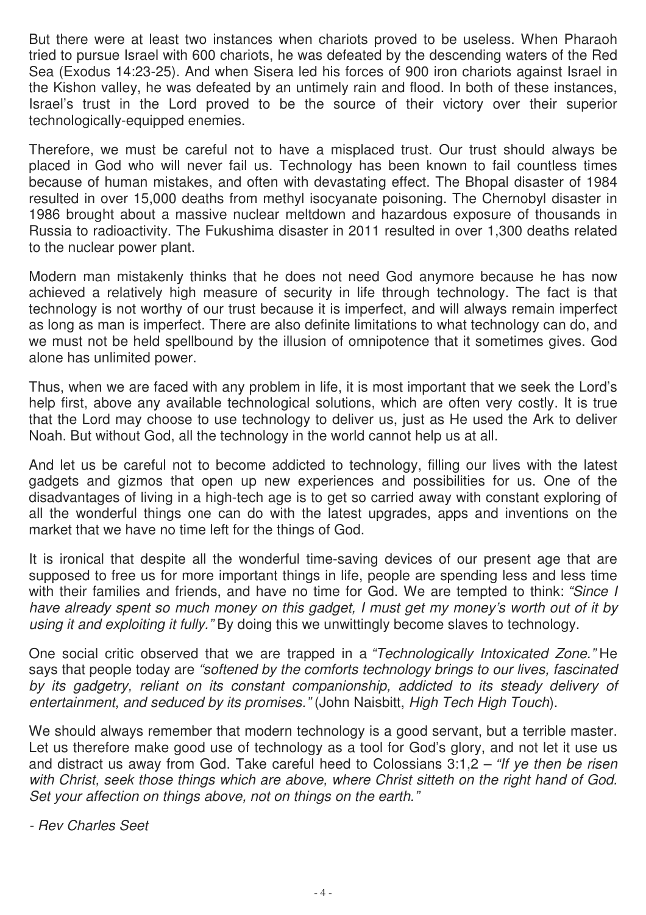But there were at least two instances when chariots proved to be useless. When Pharaoh tried to pursue Israel with 600 chariots, he was defeated by the descending waters of the Red Sea (Exodus 14:23-25). And when Sisera led his forces of 900 iron chariots against Israel in the Kishon valley, he was defeated by an untimely rain and flood. In both of these instances, Israel's trust in the Lord proved to be the source of their victory over their superior technologically-equipped enemies.

Therefore, we must be careful not to have a misplaced trust. Our trust should always be placed in God who will never fail us. Technology has been known to fail countless times because of human mistakes, and often with devastating effect. The Bhopal disaster of 1984 resulted in over 15,000 deaths from methyl isocyanate poisoning. The Chernobyl disaster in 1986 brought about a massive nuclear meltdown and hazardous exposure of thousands in Russia to radioactivity. The Fukushima disaster in 2011 resulted in over 1,300 deaths related to the nuclear power plant.

Modern man mistakenly thinks that he does not need God anymore because he has now achieved a relatively high measure of security in life through technology. The fact is that technology is not worthy of our trust because it is imperfect, and will always remain imperfect as long as man is imperfect. There are also definite limitations to what technology can do, and we must not be held spellbound by the illusion of omnipotence that it sometimes gives. God alone has unlimited power.

Thus, when we are faced with any problem in life, it is most important that we seek the Lord's help first, above any available technological solutions, which are often very costly. It is true that the Lord may choose to use technology to deliver us, just as He used the Ark to deliver Noah. But without God, all the technology in the world cannot help us at all.

And let us be careful not to become addicted to technology, filling our lives with the latest gadgets and gizmos that open up new experiences and possibilities for us. One of the disadvantages of living in a high-tech age is to get so carried away with constant exploring of all the wonderful things one can do with the latest upgrades, apps and inventions on the market that we have no time left for the things of God.

It is ironical that despite all the wonderful time-saving devices of our present age that are supposed to free us for more important things in life, people are spending less and less time with their families and friends, and have no time for God. We are tempted to think: *"Since I have already spent so much money on this gadget, I must get my money's worth out of it by using it and exploiting it fully."* By doing this we unwittingly become slaves to technology.

One social critic observed that we are trapped in a *"Technologically Intoxicated Zone."* He says that people today are *"softened by the comforts technology brings to our lives, fascinated*  by its gadgetry, reliant on its constant companionship, addicted to its steady delivery of *entertainment, and seduced by its promises."* (John Naisbitt, *High Tech High Touch*).

We should always remember that modern technology is a good servant, but a terrible master. Let us therefore make good use of technology as a tool for God's glory, and not let it use us and distract us away from God. Take careful heed to Colossians 3:1,2 – *"If ye then be risen with Christ, seek those things which are above, where Christ sitteth on the right hand of God. Set your affection on things above, not on things on the earth."*

*- Rev Charles Seet*